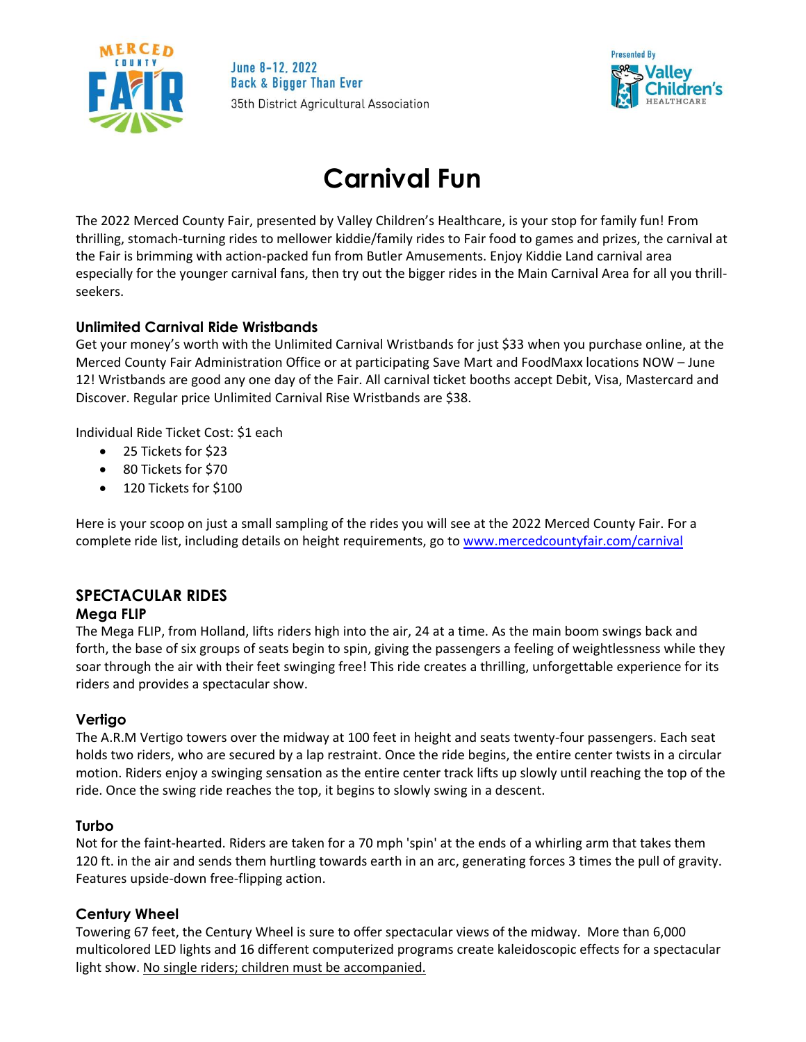

June 8-12, 2022 **Back & Bigger Than Ever** 35th District Agricultural Association



# **Carnival Fun**

The 2022 Merced County Fair, presented by Valley Children's Healthcare, is your stop for family fun! From thrilling, stomach-turning rides to mellower kiddie/family rides to Fair food to games and prizes, the carnival at the Fair is brimming with action-packed fun from Butler Amusements. Enjoy Kiddie Land carnival area especially for the younger carnival fans, then try out the bigger rides in the Main Carnival Area for all you thrillseekers.

# **Unlimited Carnival Ride Wristbands**

Get your money's worth with the Unlimited Carnival Wristbands for just \$33 when you purchase online, at the Merced County Fair Administration Office or at participating Save Mart and FoodMaxx locations NOW – June 12! Wristbands are good any one day of the Fair. All carnival ticket booths accept Debit, Visa, Mastercard and Discover. Regular price Unlimited Carnival Rise Wristbands are \$38.

Individual Ride Ticket Cost: \$1 each

- 25 Tickets for \$23
- 80 Tickets for \$70
- 120 Tickets for \$100

Here is your scoop on just a small sampling of the rides you will see at the 2022 Merced County Fair. For a complete ride list, including details on height requirements, go to [www.mercedcountyfair.com/carnival](http://www.mercedcountyfair.com/carnival)

## **SPECTACULAR RIDES Mega FLIP**

# The Mega FLIP, from Holland, lifts riders high into the air, 24 at a time. As the main boom swings back and forth, the base of six groups of seats begin to spin, giving the passengers a feeling of weightlessness while they soar through the air with their feet swinging free! This ride creates a thrilling, unforgettable experience for its riders and provides a spectacular show.

# **Vertigo**

The A.R.M Vertigo towers over the midway at 100 feet in height and seats twenty-four passengers. Each seat holds two riders, who are secured by a lap restraint. Once the ride begins, the entire center twists in a circular motion. Riders enjoy a swinging sensation as the entire center track lifts up slowly until reaching the top of the ride. Once the swing ride reaches the top, it begins to slowly swing in a descent.

## **Turbo**

Not for the faint-hearted. Riders are taken for a 70 mph 'spin' at the ends of a whirling arm that takes them 120 ft. in the air and sends them hurtling towards earth in an arc, generating forces 3 times the pull of gravity. Features upside-down free-flipping action.

## **Century Wheel**

Towering 67 feet, the Century Wheel is sure to offer spectacular views of the midway. More than 6,000 multicolored LED lights and 16 different computerized programs create kaleidoscopic effects for a spectacular light show. No single riders; children must be accompanied.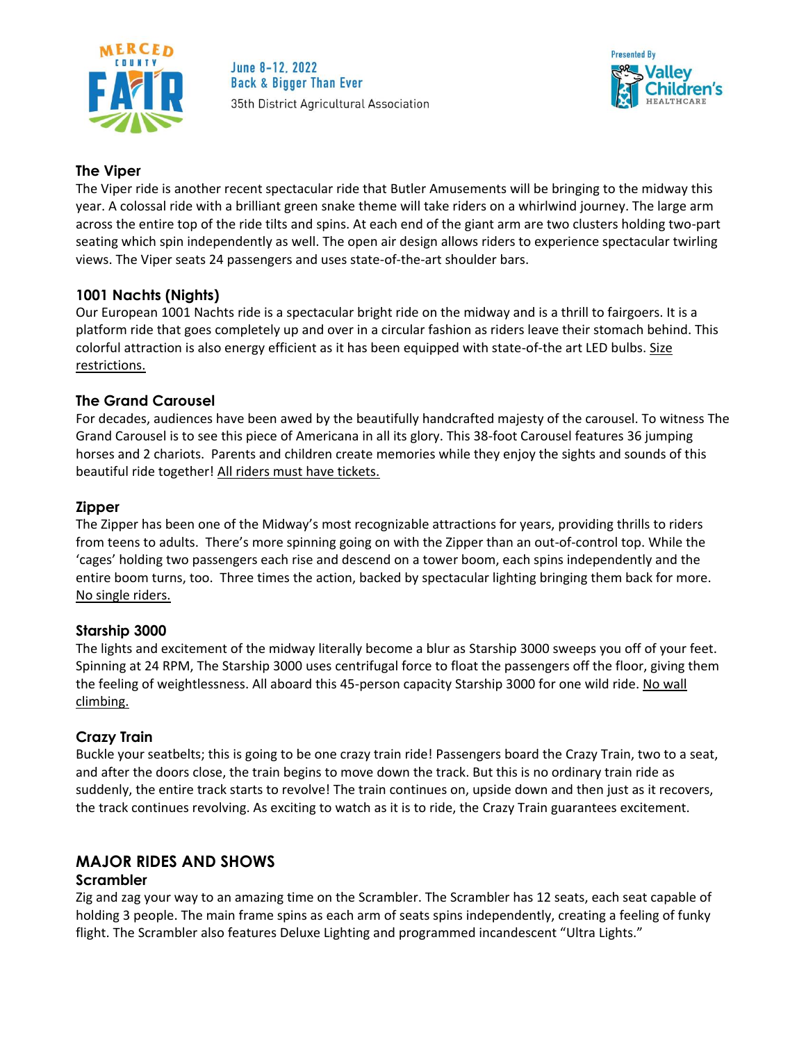

June 8-12, 2022 **Back & Bigger Than Ever** 35th District Agricultural Association



## **The Viper**

The Viper ride is another recent spectacular ride that Butler Amusements will be bringing to the midway this year. A colossal ride with a brilliant green snake theme will take riders on a whirlwind journey. The large arm across the entire top of the ride tilts and spins. At each end of the giant arm are two clusters holding two-part seating which spin independently as well. The open air design allows riders to experience spectacular twirling views. The Viper seats 24 passengers and uses state-of-the-art shoulder bars.

# **1001 Nachts (Nights)**

Our European 1001 Nachts ride is a spectacular bright ride on the midway and is a thrill to fairgoers. It is a platform ride that goes completely up and over in a circular fashion as riders leave their stomach behind. This colorful attraction is also energy efficient as it has been equipped with state-of-the art LED bulbs. Size restrictions.

# **The Grand Carousel**

For decades, audiences have been awed by the beautifully handcrafted majesty of the carousel. To witness The Grand Carousel is to see this piece of Americana in all its glory. This 38-foot Carousel features 36 jumping horses and 2 chariots. Parents and children create memories while they enjoy the sights and sounds of this beautiful ride together! All riders must have tickets.

## **Zipper**

The Zipper has been one of the Midway's most recognizable attractions for years, providing thrills to riders from teens to adults. There's more spinning going on with the Zipper than an out-of-control top. While the 'cages' holding two passengers each rise and descend on a tower boom, each spins independently and the entire boom turns, too. Three times the action, backed by spectacular lighting bringing them back for more. No single riders.

## **Starship 3000**

The lights and excitement of the midway literally become a blur as Starship 3000 sweeps you off of your feet. Spinning at 24 RPM, The Starship 3000 uses centrifugal force to float the passengers off the floor, giving them the feeling of weightlessness. All aboard this 45-person capacity Starship 3000 for one wild ride. No wall climbing.

## **Crazy Train**

Buckle your seatbelts; this is going to be one crazy train ride! Passengers board the Crazy Train, two to a seat, and after the doors close, the train begins to move down the track. But this is no ordinary train ride as suddenly, the entire track starts to revolve! The train continues on, upside down and then just as it recovers, the track continues revolving. As exciting to watch as it is to ride, the Crazy Train guarantees excitement.

# **MAJOR RIDES AND SHOWS**

## **Scrambler**

Zig and zag your way to an amazing time on the Scrambler. The Scrambler has 12 seats, each seat capable of holding 3 people. The main frame spins as each arm of seats spins independently, creating a feeling of funky flight. The Scrambler also features Deluxe Lighting and programmed incandescent "Ultra Lights."